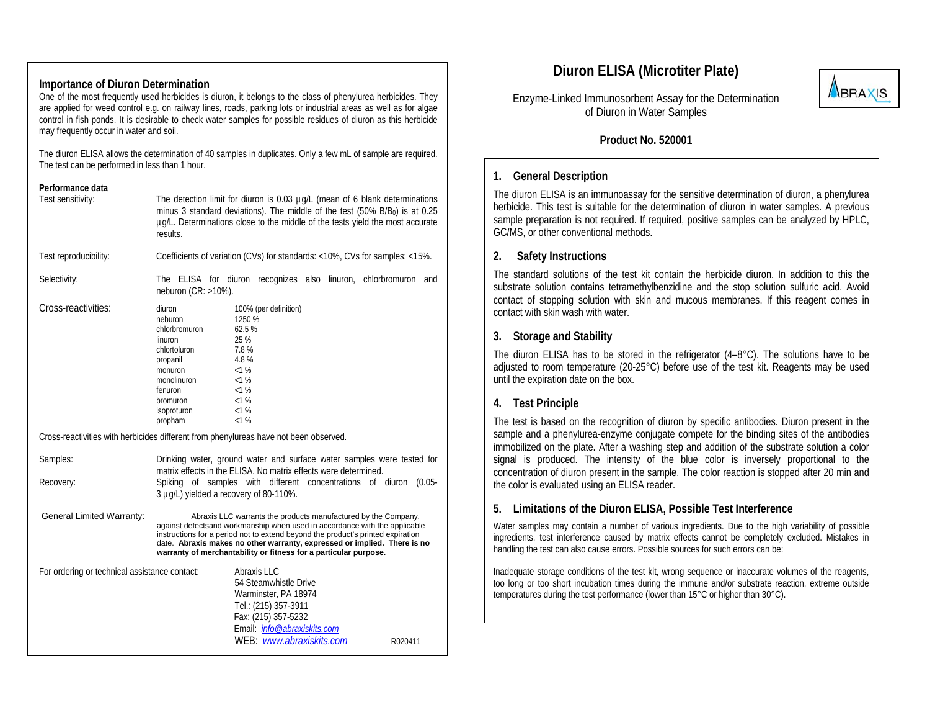### **Importance of Diuron Determination**

One of the most frequently used herbicides is diuron, it belongs to the class of phenylurea herbicides. They are applied for weed control e.g. on railway lines, roads, parking lots or industrial areas as well as for algae control in fish ponds. It is desirable to check water samples for possible residues of diuron as this herbicide may frequently occur in water and soil.

The diuron ELISA allows the determination of 40 samples in duplicates. Only a few mL of sample are required. The test can be performed in less than 1 hour.

#### **Performance data**

| Test sensitivity:                                                                     | The detection limit for diuron is 0.03 µg/L (mean of 6 blank determinations<br>minus 3 standard deviations). The middle of the test (50% B/B <sub>0</sub> ) is at 0.25<br>ug/L. Determinations close to the middle of the tests yield the most accurate<br>results.                                                                                                             |
|---------------------------------------------------------------------------------------|---------------------------------------------------------------------------------------------------------------------------------------------------------------------------------------------------------------------------------------------------------------------------------------------------------------------------------------------------------------------------------|
| Test reproducibility:                                                                 | Coefficients of variation (CVs) for standards: <10%, CVs for samples: <15%.                                                                                                                                                                                                                                                                                                     |
| Selectivity:                                                                          | The ELISA for diuron recognizes also linuron, chlorbromuron and<br>neburon $(CR: >10\%)$ .                                                                                                                                                                                                                                                                                      |
| Cross-reactivities:                                                                   | diuron<br>100% (per definition)<br>1250 %<br>neburon<br>62.5%<br>chlorbromuron<br>25 %<br>linuron<br>7.8%<br>chlortoluron<br>4.8%<br>propanil<br><1%<br>monuron<br>$< 1 \%$<br>monolinuron<br><1%<br>fenuron<br><1%<br>bromuron<br><1%<br>isoproturon<br>< 1%<br>propham                                                                                                        |
| Cross-reactivities with herbicides different from phenylureas have not been observed. |                                                                                                                                                                                                                                                                                                                                                                                 |
| Samples:                                                                              | Drinking water, ground water and surface water samples were tested for<br>matrix effects in the ELISA. No matrix effects were determined.                                                                                                                                                                                                                                       |
| Recovery:                                                                             | Spiking of samples with different concentrations of diuron (0.05-<br>3 µg/L) yielded a recovery of 80-110%.                                                                                                                                                                                                                                                                     |
| General Limited Warranty:                                                             | Abraxis LLC warrants the products manufactured by the Company,<br>against defectsand workmanship when used in accordance with the applicable<br>instructions for a period not to extend beyond the product's printed expiration<br>date. Abraxis makes no other warranty, expressed or implied. There is no<br>warranty of merchantability or fitness for a particular purpose. |
| For ordering or technical assistance contact:                                         | Abraxis LLC<br>54 Steamwhistle Drive<br>Warminster, PA 18974<br>Tel.: (215) 357-3911<br>Fax: (215) 357-5232<br>Email: <i>info@abraxiskits.com</i><br>WEB: www.abraxiskits.com<br>R020411                                                                                                                                                                                        |

# **Diuron ELISA (Microtiter Plate)**



Enzyme-Linked Immunosorbent Assay for the Determination of Diuron in Water Samples

### **Product No. 520001**

### **1. General Description**

The diuron ELISA is an immunoassay for the sensitive determination of diuron, a phenylurea herbicide. This test is suitable for the determination of diuron in water samples. A previous sample preparation is not required. If required, positive samples can be analyzed by HPLC, GC/MS, or other conventional methods.

### **2. Safety Instructions**

The standard solutions of the test kit contain the herbicide diuron. In addition to this the substrate solution contains tetramethylbenzidine and the stop solution sulfuric acid. Avoid contact of stopping solution with skin and mucous membranes. If this reagent comes in contact with skin wash with water.

### **3. Storage and Stability**

The diuron ELISA has to be stored in the refrigerator  $(4-8^{\circ}C)$ . The solutions have to be adjusted to room temperature (20-25°C) before use of the test kit. Reagents may be used until the expiration date on the box.

# **4. Test Principle**

The test is based on the recognition of diuron by specific antibodies. Diuron present in the sample and a phenylurea-enzyme conjugate compete for the binding sites of the antibodies immobilized on the plate. After a washing step and addition of the substrate solution a color signal is produced. The intensity of the blue color is inversely proportional to the concentration of diuron present in the sample. The color reaction is stopped after 20 min and the color is evaluated using an ELISA reader.

# **5. Limitations of the Diuron ELISA, Possible Test Interference**

Water samples may contain a number of various ingredients. Due to the high variability of possible ingredients, test interference caused by matrix effects cannot be completely excluded. Mistakes in handling the test can also cause errors. Possible sources for such errors can be:

Inadequate storage conditions of the test kit, wrong sequence or inaccurate volumes of the reagents, too long or too short incubation times during the immune and/or substrate reaction, extreme outside temperatures during the test performance (lower than 15°C or higher than 30°C).